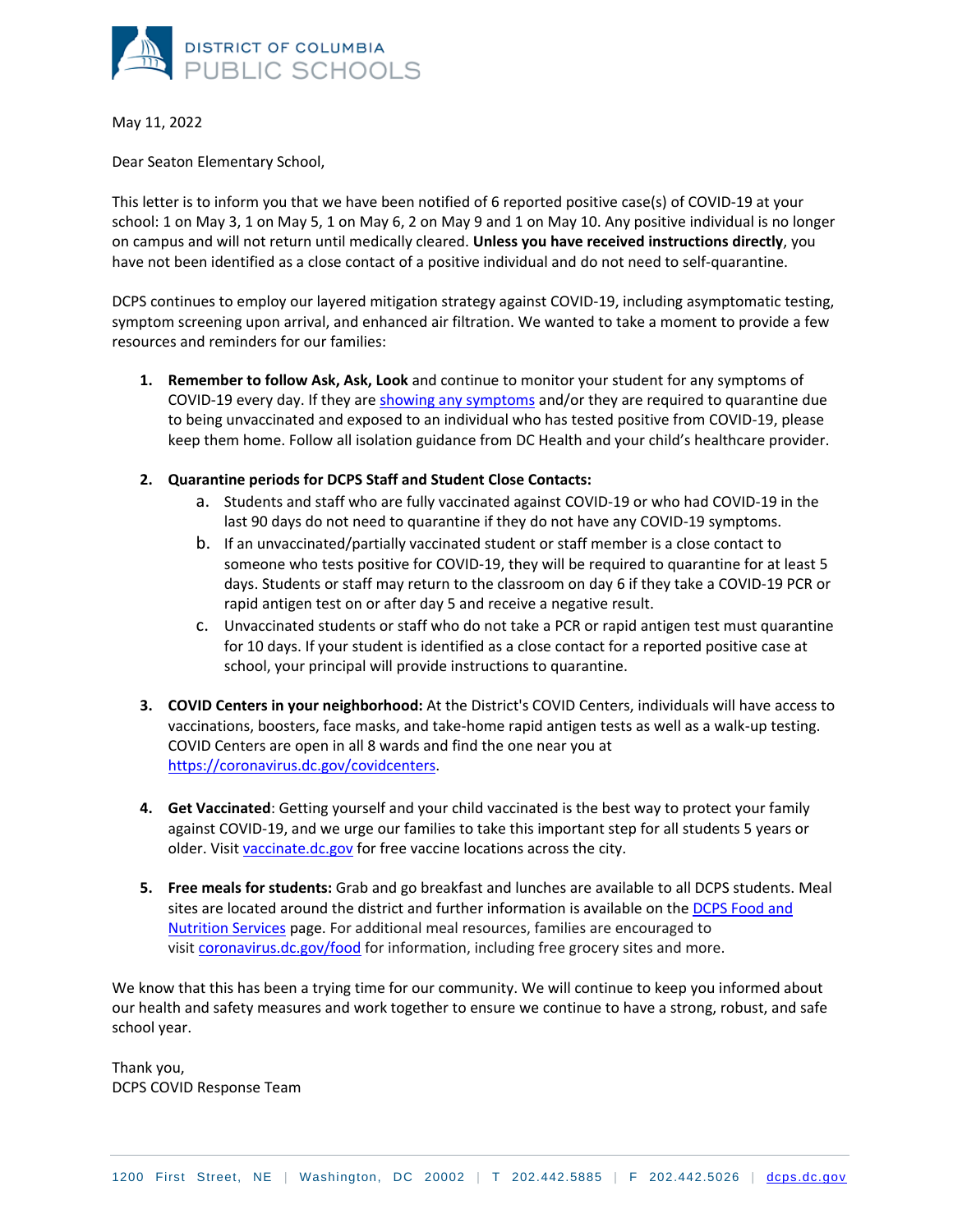

May 11, 2022

Dear Seaton Elementary School,

This letter is to inform you that we have been notified of 6 reported positive case(s) of COVID-19 at your school: 1 on May 3, 1 on May 5, 1 on May 6, 2 on May 9 and 1 on May 10. Any positive individual is no longer on campus and will not return until medically cleared. **Unless you have received instructions directly**, you have not been identified as a close contact of a positive individual and do not need to self-quarantine.

DCPS continues to employ our layered mitigation strategy against COVID-19, including asymptomatic testing, symptom screening upon arrival, and enhanced air filtration. We wanted to take a moment to provide a few resources and reminders for our families:

- **1. Remember to follow Ask, Ask, Look** and continue to monitor your student for any symptoms of COVID-19 every day. If they are [showing any symptoms](https://45biv636w8lm1agg3ozqtqg1-wpengine.netdna-ssl.com/wp-content/uploads/2021/08/Ask-Ask-Look-Daily-Log_FINAL.pdf) and/or they are required to quarantine due to being unvaccinated and exposed to an individual who has tested positive from COVID-19, please keep them home. Follow all isolation guidance from DC Health and your child's healthcare provider.
- **2. Quarantine periods for DCPS Staff and Student Close Contacts:**
	- a. Students and staff who are fully vaccinated against COVID-19 or who had COVID-19 in the last 90 days do not need to quarantine if they do not have any COVID-19 symptoms.
	- b. If an unvaccinated/partially vaccinated student or staff member is a close contact to someone who tests positive for COVID-19, they will be required to quarantine for at least 5 days. Students or staff may return to the classroom on day 6 if they take a COVID-19 PCR or rapid antigen test on or after day 5 and receive a negative result.
	- c. Unvaccinated students or staff who do not take a PCR or rapid antigen test must quarantine for 10 days. If your student is identified as a close contact for a reported positive case at school, your principal will provide instructions to quarantine.
- **3. COVID Centers in your neighborhood:** At the District's COVID Centers, individuals will have access to vaccinations, boosters, face masks, and take-home rapid antigen tests as well as a walk-up testing. COVID Centers are open in all 8 wards and find the one near you at [https://coronavirus.dc.gov/covidcenters.](https://coronavirus.dc.gov/covidcenters)
- **4. Get Vaccinated**: Getting yourself and your child vaccinated is the best way to protect your family against COVID-19, and we urge our families to take this important step for all students 5 years or older. Visit [vaccinate.dc.gov](http://vaccinate.dc.gov/) for free vaccine locations across the city.
- **5. Free meals for students:** Grab and go breakfast and lunches are available to all DCPS students. Meal sites are located around the district and further information is available on the [DCPS Food and](https://dcps.dc.gov/food)  [Nutrition](https://dcps.dc.gov/food) Services page. For additional meal resources, families are encouraged to visit [coronavirus.dc.gov/food](https://coronavirus.dc.gov/food) for information, including free grocery sites and more.

We know that this has been a trying time for our community. We will continue to keep you informed about our health and safety measures and work together to ensure we continue to have a strong, robust, and safe school year.

Thank you, DCPS COVID Response Team